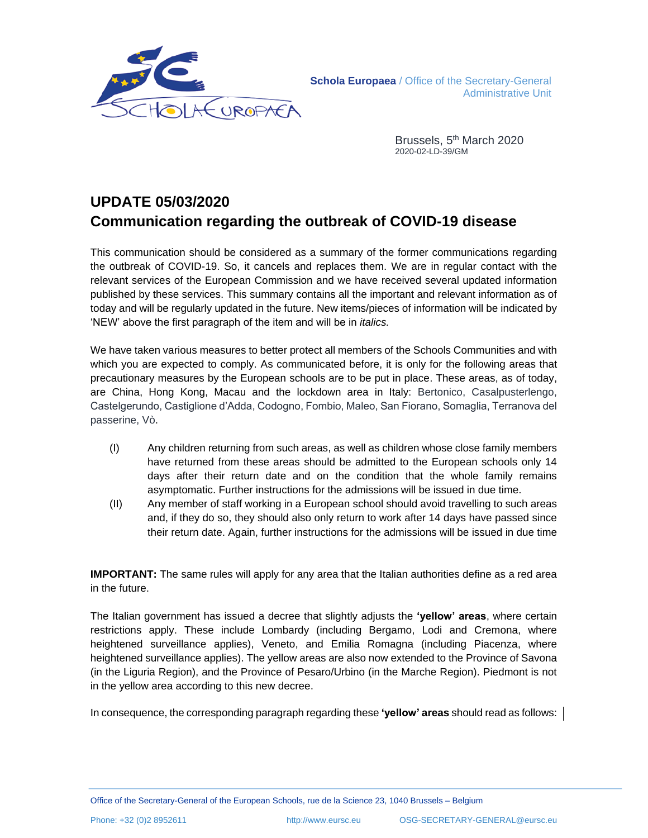

Brussels, 5<sup>th</sup> March 2020 2020-02-LD-39/GM

# **UPDATE 05/03/2020 Communication regarding the outbreak of COVID-19 disease**

This communication should be considered as a summary of the former communications regarding the outbreak of COVID-19. So, it cancels and replaces them. We are in regular contact with the relevant services of the European Commission and we have received several updated information published by these services. This summary contains all the important and relevant information as of today and will be regularly updated in the future. New items/pieces of information will be indicated by 'NEW' above the first paragraph of the item and will be in *italics.*

We have taken various measures to better protect all members of the Schools Communities and with which you are expected to comply. As communicated before, it is only for the following areas that precautionary measures by the European schools are to be put in place. These areas, as of today, are China, Hong Kong, Macau and the lockdown area in Italy: Bertonico, Casalpusterlengo, Castelgerundo, Castiglione d'Adda, Codogno, Fombio, Maleo, San Fiorano, Somaglia, Terranova del passerine, Vò.

- (I) Any children returning from such areas, as well as children whose close family members have returned from these areas should be admitted to the European schools only 14 days after their return date and on the condition that the whole family remains asymptomatic. Further instructions for the admissions will be issued in due time.
- (II) Any member of staff working in a European school should avoid travelling to such areas and, if they do so, they should also only return to work after 14 days have passed since their return date. Again, further instructions for the admissions will be issued in due time

**IMPORTANT:** The same rules will apply for any area that the Italian authorities define as a red area in the future.

The Italian government has issued a decree that slightly adjusts the **'yellow' areas**, where certain restrictions apply. These include Lombardy (including Bergamo, Lodi and Cremona, where heightened surveillance applies), Veneto, and Emilia Romagna (including Piacenza, where heightened surveillance applies). The yellow areas are also now extended to the Province of Savona (in the Liguria Region), and the Province of Pesaro/Urbino (in the Marche Region). Piedmont is not in the yellow area according to this new decree.

In consequence, the corresponding paragraph regarding these **'yellow' areas** should read as follows: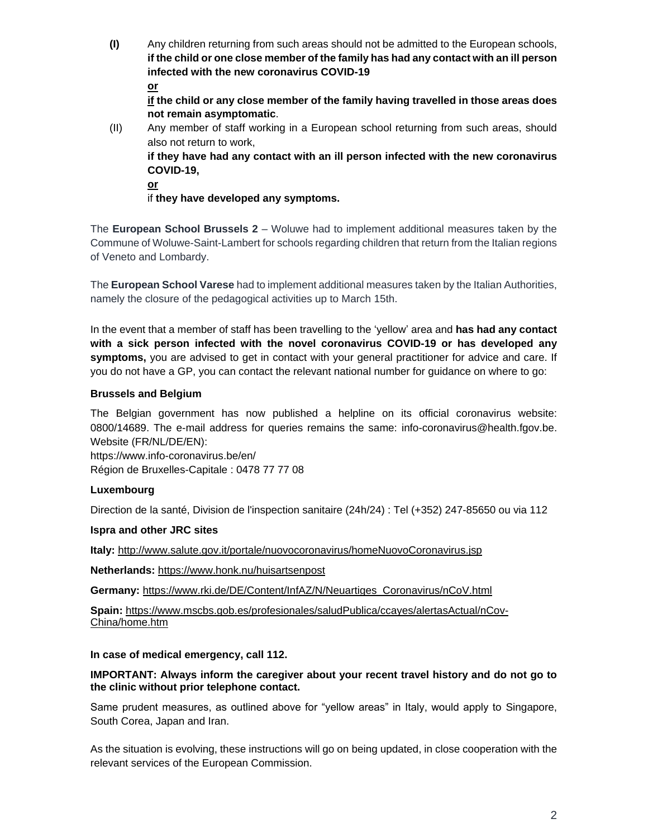**(I)** Any children returning from such areas should not be admitted to the European schools, **if the child or one close member of the family has had any contact with an ill person infected with the new coronavirus COVID-19 or** 

**if the child or any close member of the family having travelled in those areas does not remain asymptomatic**.

(II) Any member of staff working in a European school returning from such areas, should also not return to work, **if they have had any contact with an ill person infected with the new coronavirus COVID-19,** 

**or** 

if **they have developed any symptoms.**

The **European School Brussels 2** – Woluwe had to implement additional measures taken by the Commune of Woluwe-Saint-Lambert for schools regarding children that return from the Italian regions of Veneto and Lombardy.

The **European School Varese** had to implement additional measures taken by the Italian Authorities, namely the closure of the pedagogical activities up to March 15th.

In the event that a member of staff has been travelling to the 'yellow' area and **has had any contact with a sick person infected with the novel coronavirus COVID-19 or has developed any symptoms,** you are advised to get in contact with your general practitioner for advice and care. If you do not have a GP, you can contact the relevant national number for guidance on where to go:

## **Brussels and Belgium**

The Belgian government has now published a helpline on its official coronavirus website: 0800/14689. The e-mail address for queries remains the same: [info-coronavirus@health.fgov.be.](mailto:info-coronavirus@health.fgov.be) Website (FR/NL/DE/EN):

<https://www.info-coronavirus.be/en/> Région de Bruxelles-Capitale : 0478 77 77 08

# **Luxembourg**

Direction de la santé, Division de l'inspection sanitaire (24h/24) : Tel (+352) 247-85650 ou via 112

# **Ispra and other JRC sites**

**Italy:** <http://www.salute.gov.it/portale/nuovocoronavirus/homeNuovoCoronavirus.jsp>

**Netherlands:** <https://www.honk.nu/huisartsenpost>

**Germany:** [https://www.rki.de/DE/Content/InfAZ/N/Neuartiges\\_Coronavirus/nCoV.html](https://www.rki.de/DE/Content/InfAZ/N/Neuartiges_Coronavirus/nCoV.html)

**Spain:** [https://www.mscbs.gob.es/profesionales/saludPublica/ccayes/alertasActual/nCov-](https://www.mscbs.gob.es/profesionales/saludPublica/ccayes/alertasActual/nCov-China/home.htm)[China/home.htm](https://www.mscbs.gob.es/profesionales/saludPublica/ccayes/alertasActual/nCov-China/home.htm)

## **In case of medical emergency, call 112.**

## **IMPORTANT: Always inform the caregiver about your recent travel history and do not go to the clinic without prior telephone contact.**

Same prudent measures, as outlined above for "yellow areas" in Italy, would apply to Singapore, South Corea, Japan and Iran.

As the situation is evolving, these instructions will go on being updated, in close cooperation with the relevant services of the European Commission.